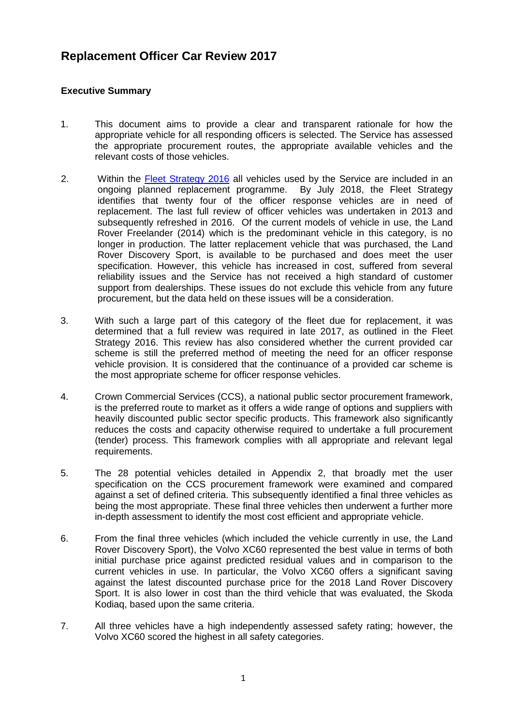# **Replacement Officer Car Review 2017**

## **Executive Summary**

- 1. This document aims to provide a clear and transparent rationale for how the appropriate vehicle for all responding officers is selected. The Service has assessed the appropriate procurement routes, the appropriate available vehicles and the relevant costs of those vehicles.
- 2. Within the [Fleet Strategy 2016](http://www.hwfire.org.uk/assets/files/fleet-strategy.pdf) all vehicles used by the Service are included in an ongoing planned replacement programme. By July 2018, the Fleet Strategy identifies that twenty four of the officer response vehicles are in need of replacement. The last full review of officer vehicles was undertaken in 2013 and subsequently refreshed in 2016. Of the current models of vehicle in use, the Land Rover Freelander (2014) which is the predominant vehicle in this category, is no longer in production. The latter replacement vehicle that was purchased, the Land Rover Discovery Sport, is available to be purchased and does meet the user specification. However, this vehicle has increased in cost, suffered from several reliability issues and the Service has not received a high standard of customer support from dealerships. These issues do not exclude this vehicle from any future procurement, but the data held on these issues will be a consideration.
- 3. With such a large part of this category of the fleet due for replacement, it was determined that a full review was required in late 2017, as outlined in the Fleet Strategy 2016. This review has also considered whether the current provided car scheme is still the preferred method of meeting the need for an officer response vehicle provision. It is considered that the continuance of a provided car scheme is the most appropriate scheme for officer response vehicles.
- 4. Crown Commercial Services (CCS), a national public sector procurement framework, is the preferred route to market as it offers a wide range of options and suppliers with heavily discounted public sector specific products. This framework also significantly reduces the costs and capacity otherwise required to undertake a full procurement (tender) process. This framework complies with all appropriate and relevant legal requirements.
- 5. The 28 potential vehicles detailed in Appendix 2, that broadly met the user specification on the CCS procurement framework were examined and compared against a set of defined criteria. This subsequently identified a final three vehicles as being the most appropriate. These final three vehicles then underwent a further more in-depth assessment to identify the most cost efficient and appropriate vehicle.
- 6. From the final three vehicles (which included the vehicle currently in use, the Land Rover Discovery Sport), the Volvo XC60 represented the best value in terms of both initial purchase price against predicted residual values and in comparison to the current vehicles in use. In particular, the Volvo XC60 offers a significant saving against the latest discounted purchase price for the 2018 Land Rover Discovery Sport. It is also lower in cost than the third vehicle that was evaluated, the Skoda Kodiaq, based upon the same criteria.
- 7. All three vehicles have a high independently assessed safety rating; however, the Volvo XC60 scored the highest in all safety categories.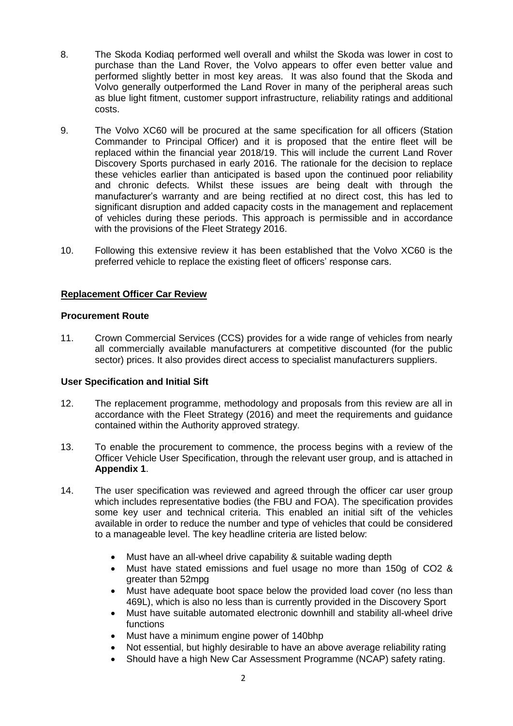- 8. The Skoda Kodiaq performed well overall and whilst the Skoda was lower in cost to purchase than the Land Rover, the Volvo appears to offer even better value and performed slightly better in most key areas. It was also found that the Skoda and Volvo generally outperformed the Land Rover in many of the peripheral areas such as blue light fitment, customer support infrastructure, reliability ratings and additional costs.
- 9. The Volvo XC60 will be procured at the same specification for all officers (Station Commander to Principal Officer) and it is proposed that the entire fleet will be replaced within the financial year 2018/19. This will include the current Land Rover Discovery Sports purchased in early 2016. The rationale for the decision to replace these vehicles earlier than anticipated is based upon the continued poor reliability and chronic defects. Whilst these issues are being dealt with through the manufacturer's warranty and are being rectified at no direct cost, this has led to significant disruption and added capacity costs in the management and replacement of vehicles during these periods. This approach is permissible and in accordance with the provisions of the Fleet Strategy 2016.
- 10. Following this extensive review it has been established that the Volvo XC60 is the preferred vehicle to replace the existing fleet of officers' response cars.

## **Replacement Officer Car Review**

## **Procurement Route**

11. Crown Commercial Services (CCS) provides for a wide range of vehicles from nearly all commercially available manufacturers at competitive discounted (for the public sector) prices. It also provides direct access to specialist manufacturers suppliers.

## **User Specification and Initial Sift**

- 12. The replacement programme, methodology and proposals from this review are all in accordance with the Fleet Strategy (2016) and meet the requirements and guidance contained within the Authority approved strategy.
- 13. To enable the procurement to commence, the process begins with a review of the Officer Vehicle User Specification, through the relevant user group, and is attached in **Appendix 1**.
- 14. The user specification was reviewed and agreed through the officer car user group which includes representative bodies (the FBU and FOA). The specification provides some key user and technical criteria. This enabled an initial sift of the vehicles available in order to reduce the number and type of vehicles that could be considered to a manageable level. The key headline criteria are listed below:
	- Must have an all-wheel drive capability & suitable wading depth
	- Must have stated emissions and fuel usage no more than 150g of CO2 & greater than 52mpg
	- Must have adequate boot space below the provided load cover (no less than 469L), which is also no less than is currently provided in the Discovery Sport
	- Must have suitable automated electronic downhill and stability all-wheel drive functions
	- Must have a minimum engine power of 140bhp
	- Not essential, but highly desirable to have an above average reliability rating
	- Should have a high New Car Assessment Programme (NCAP) safety rating.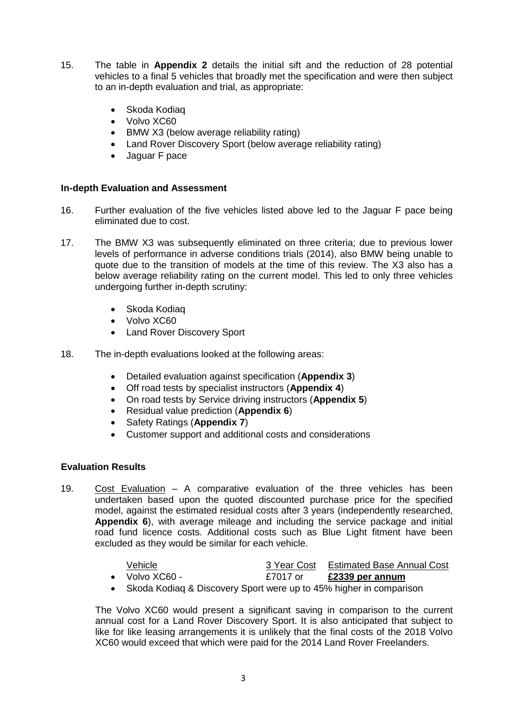- 15. The table in **Appendix 2** details the initial sift and the reduction of 28 potential vehicles to a final 5 vehicles that broadly met the specification and were then subject to an in-depth evaluation and trial, as appropriate:
	- Skoda Kodiag
	- Volvo XC60
	- BMW X3 (below average reliability rating)
	- Land Rover Discovery Sport (below average reliability rating)
	- Jaguar F pace

## **In-depth Evaluation and Assessment**

- 16. Further evaluation of the five vehicles listed above led to the Jaguar F pace being eliminated due to cost.
- 17. The BMW X3 was subsequently eliminated on three criteria; due to previous lower levels of performance in adverse conditions trials (2014), also BMW being unable to quote due to the transition of models at the time of this review. The X3 also has a below average reliability rating on the current model. This led to only three vehicles undergoing further in-depth scrutiny:
	- Skoda Kodiag
	- Volvo XC60
	- Land Rover Discovery Sport
- 18. The in-depth evaluations looked at the following areas:
	- Detailed evaluation against specification (**Appendix 3**)
	- Off road tests by specialist instructors (**Appendix 4**)
	- On road tests by Service driving instructors (**Appendix 5**)
	- Residual value prediction (**Appendix 6**)
	- Safety Ratings (**Appendix 7**)
	- Customer support and additional costs and considerations

## **Evaluation Results**

19. Cost Evaluation – A comparative evaluation of the three vehicles has been undertaken based upon the quoted discounted purchase price for the specified model, against the estimated residual costs after 3 years (independently researched, **Appendix 6**), with average mileage and including the service package and initial road fund licence costs. Additional costs such as Blue Light fitment have been excluded as they would be similar for each vehicle.

| Vehicle.               |          | 3 Year Cost Estimated Base Annual Cost |
|------------------------|----------|----------------------------------------|
| $\bullet$ Volvo XC60 - | £7017 or | £2339 per annum                        |

Skoda Kodiaq & Discovery Sport were up to 45% higher in comparison

The Volvo XC60 would present a significant saving in comparison to the current annual cost for a Land Rover Discovery Sport. It is also anticipated that subject to like for like leasing arrangements it is unlikely that the final costs of the 2018 Volvo XC60 would exceed that which were paid for the 2014 Land Rover Freelanders.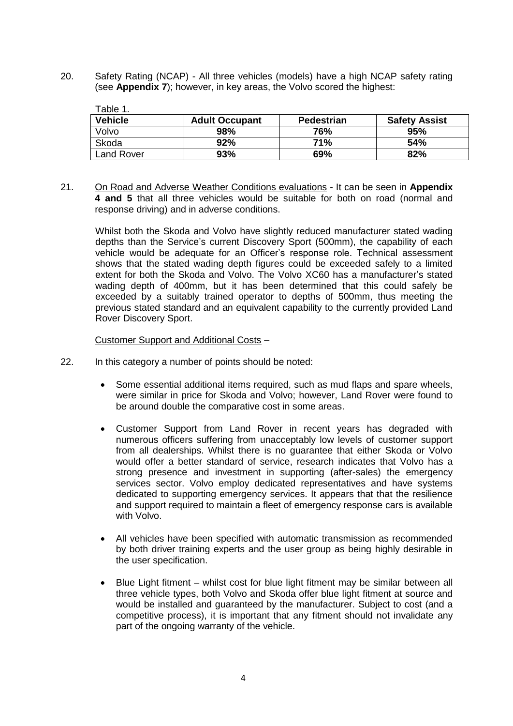20. Safety Rating (NCAP) - All three vehicles (models) have a high NCAP safety rating (see **Appendix 7**); however, in key areas, the Volvo scored the highest:

| Table 1.          |                       |                   |                      |
|-------------------|-----------------------|-------------------|----------------------|
| <b>Vehicle</b>    | <b>Adult Occupant</b> | <b>Pedestrian</b> | <b>Safety Assist</b> |
| Volvo             | 98%                   | 76%               | 95%                  |
| Skoda             | 92%                   | <b>71%</b>        | 54%                  |
| <b>Land Rover</b> | 93%                   | 69%               | 82%                  |

21. On Road and Adverse Weather Conditions evaluations - It can be seen in **Appendix 4 and 5** that all three vehicles would be suitable for both on road (normal and response driving) and in adverse conditions.

Whilst both the Skoda and Volvo have slightly reduced manufacturer stated wading depths than the Service's current Discovery Sport (500mm), the capability of each vehicle would be adequate for an Officer's response role. Technical assessment shows that the stated wading depth figures could be exceeded safely to a limited extent for both the Skoda and Volvo. The Volvo XC60 has a manufacturer's stated wading depth of 400mm, but it has been determined that this could safely be exceeded by a suitably trained operator to depths of 500mm, thus meeting the previous stated standard and an equivalent capability to the currently provided Land Rover Discovery Sport.

Customer Support and Additional Costs –

- 22. In this category a number of points should be noted:
	- Some essential additional items required, such as mud flaps and spare wheels, were similar in price for Skoda and Volvo; however, Land Rover were found to be around double the comparative cost in some areas.
	- Customer Support from Land Rover in recent years has degraded with numerous officers suffering from unacceptably low levels of customer support from all dealerships. Whilst there is no guarantee that either Skoda or Volvo would offer a better standard of service, research indicates that Volvo has a strong presence and investment in supporting (after-sales) the emergency services sector. Volvo employ dedicated representatives and have systems dedicated to supporting emergency services. It appears that that the resilience and support required to maintain a fleet of emergency response cars is available with Volvo.
	- All vehicles have been specified with automatic transmission as recommended by both driver training experts and the user group as being highly desirable in the user specification.
	- Blue Light fitment whilst cost for blue light fitment may be similar between all three vehicle types, both Volvo and Skoda offer blue light fitment at source and would be installed and guaranteed by the manufacturer. Subject to cost (and a competitive process), it is important that any fitment should not invalidate any part of the ongoing warranty of the vehicle.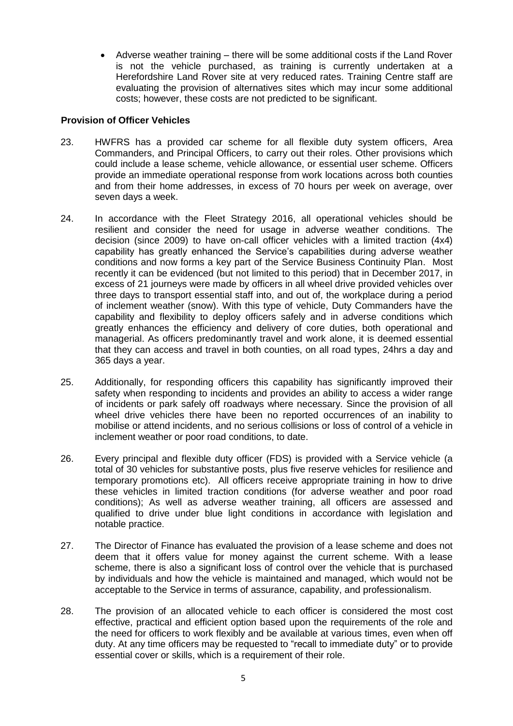Adverse weather training – there will be some additional costs if the Land Rover is not the vehicle purchased, as training is currently undertaken at a Herefordshire Land Rover site at very reduced rates. Training Centre staff are evaluating the provision of alternatives sites which may incur some additional costs; however, these costs are not predicted to be significant.

# **Provision of Officer Vehicles**

- 23. HWFRS has a provided car scheme for all flexible duty system officers, Area Commanders, and Principal Officers, to carry out their roles. Other provisions which could include a lease scheme, vehicle allowance, or essential user scheme. Officers provide an immediate operational response from work locations across both counties and from their home addresses, in excess of 70 hours per week on average, over seven days a week.
- 24. In accordance with the Fleet Strategy 2016, all operational vehicles should be resilient and consider the need for usage in adverse weather conditions. The decision (since 2009) to have on-call officer vehicles with a limited traction (4x4) capability has greatly enhanced the Service's capabilities during adverse weather conditions and now forms a key part of the Service Business Continuity Plan. Most recently it can be evidenced (but not limited to this period) that in December 2017, in excess of 21 journeys were made by officers in all wheel drive provided vehicles over three days to transport essential staff into, and out of, the workplace during a period of inclement weather (snow). With this type of vehicle, Duty Commanders have the capability and flexibility to deploy officers safely and in adverse conditions which greatly enhances the efficiency and delivery of core duties, both operational and managerial. As officers predominantly travel and work alone, it is deemed essential that they can access and travel in both counties, on all road types, 24hrs a day and 365 days a year.
- 25. Additionally, for responding officers this capability has significantly improved their safety when responding to incidents and provides an ability to access a wider range of incidents or park safely off roadways where necessary. Since the provision of all wheel drive vehicles there have been no reported occurrences of an inability to mobilise or attend incidents, and no serious collisions or loss of control of a vehicle in inclement weather or poor road conditions, to date.
- 26. Every principal and flexible duty officer (FDS) is provided with a Service vehicle (a total of 30 vehicles for substantive posts, plus five reserve vehicles for resilience and temporary promotions etc). All officers receive appropriate training in how to drive these vehicles in limited traction conditions (for adverse weather and poor road conditions); As well as adverse weather training, all officers are assessed and qualified to drive under blue light conditions in accordance with legislation and notable practice.
- 27. The Director of Finance has evaluated the provision of a lease scheme and does not deem that it offers value for money against the current scheme. With a lease scheme, there is also a significant loss of control over the vehicle that is purchased by individuals and how the vehicle is maintained and managed, which would not be acceptable to the Service in terms of assurance, capability, and professionalism.
- 28. The provision of an allocated vehicle to each officer is considered the most cost effective, practical and efficient option based upon the requirements of the role and the need for officers to work flexibly and be available at various times, even when off duty. At any time officers may be requested to "recall to immediate duty" or to provide essential cover or skills, which is a requirement of their role.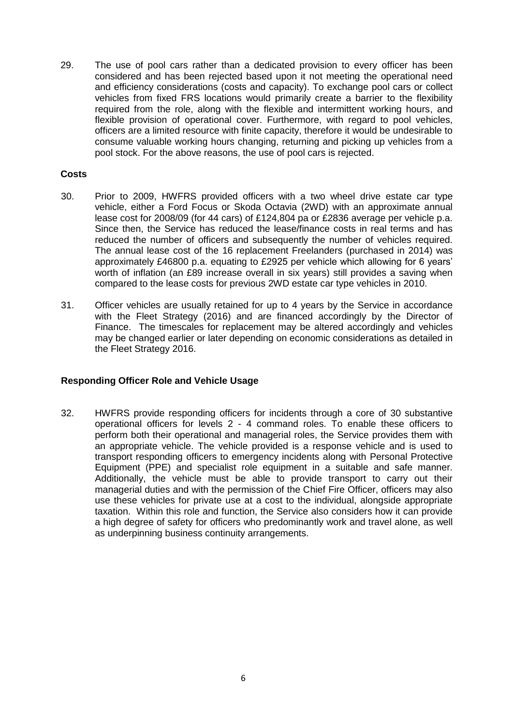29. The use of pool cars rather than a dedicated provision to every officer has been considered and has been rejected based upon it not meeting the operational need and efficiency considerations (costs and capacity). To exchange pool cars or collect vehicles from fixed FRS locations would primarily create a barrier to the flexibility required from the role, along with the flexible and intermittent working hours, and flexible provision of operational cover. Furthermore, with regard to pool vehicles, officers are a limited resource with finite capacity, therefore it would be undesirable to consume valuable working hours changing, returning and picking up vehicles from a pool stock. For the above reasons, the use of pool cars is rejected.

## **Costs**

- 30. Prior to 2009, HWFRS provided officers with a two wheel drive estate car type vehicle, either a Ford Focus or Skoda Octavia (2WD) with an approximate annual lease cost for 2008/09 (for 44 cars) of £124,804 pa or £2836 average per vehicle p.a. Since then, the Service has reduced the lease/finance costs in real terms and has reduced the number of officers and subsequently the number of vehicles required. The annual lease cost of the 16 replacement Freelanders (purchased in 2014) was approximately £46800 p.a. equating to £2925 per vehicle which allowing for 6 years' worth of inflation (an £89 increase overall in six years) still provides a saving when compared to the lease costs for previous 2WD estate car type vehicles in 2010.
- 31. Officer vehicles are usually retained for up to 4 years by the Service in accordance with the Fleet Strategy (2016) and are financed accordingly by the Director of Finance. The timescales for replacement may be altered accordingly and vehicles may be changed earlier or later depending on economic considerations as detailed in the Fleet Strategy 2016.

## **Responding Officer Role and Vehicle Usage**

32. HWFRS provide responding officers for incidents through a core of 30 substantive operational officers for levels 2 - 4 command roles. To enable these officers to perform both their operational and managerial roles, the Service provides them with an appropriate vehicle. The vehicle provided is a response vehicle and is used to transport responding officers to emergency incidents along with Personal Protective Equipment (PPE) and specialist role equipment in a suitable and safe manner. Additionally, the vehicle must be able to provide transport to carry out their managerial duties and with the permission of the Chief Fire Officer, officers may also use these vehicles for private use at a cost to the individual, alongside appropriate taxation. Within this role and function, the Service also considers how it can provide a high degree of safety for officers who predominantly work and travel alone, as well as underpinning business continuity arrangements.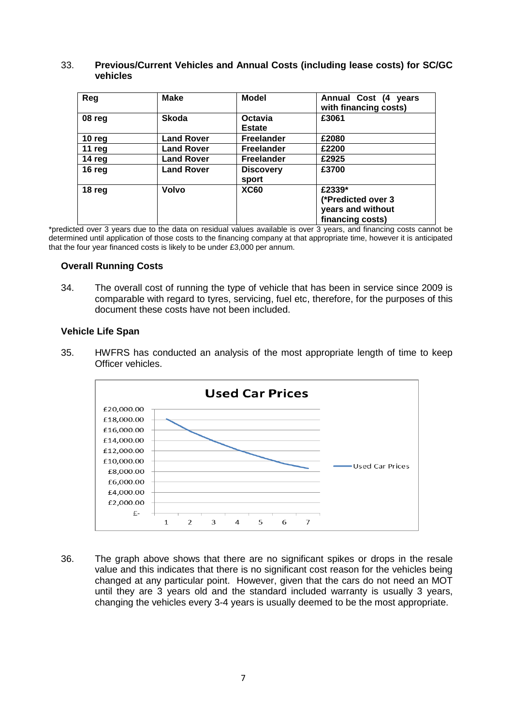#### 33. **Previous/Current Vehicles and Annual Costs (including lease costs) for SC/GC vehicles**

| Reg      | <b>Make</b>       | <b>Model</b>              | Annual Cost (4 years<br>with financing costs) |
|----------|-------------------|---------------------------|-----------------------------------------------|
| 08 reg   | <b>Skoda</b>      | Octavia<br><b>Estate</b>  | £3061                                         |
| 10 $reg$ | <b>Land Rover</b> | <b>Freelander</b>         | £2080                                         |
| 11 $reg$ | <b>Land Rover</b> | <b>Freelander</b>         | £2200                                         |
| 14 reg   | <b>Land Rover</b> | <b>Freelander</b>         | £2925                                         |
| 16 reg   | <b>Land Rover</b> | <b>Discovery</b><br>sport | £3700                                         |
| 18 reg   | Volvo             | <b>XC60</b>               | £2339*                                        |
|          |                   |                           | (*Predicted over 3                            |
|          |                   |                           | years and without                             |
|          |                   |                           | financing costs)                              |

\*predicted over 3 years due to the data on residual values available is over 3 years, and financing costs cannot be determined until application of those costs to the financing company at that appropriate time, however it is anticipated that the four year financed costs is likely to be under £3,000 per annum.

## **Overall Running Costs**

34. The overall cost of running the type of vehicle that has been in service since 2009 is comparable with regard to tyres, servicing, fuel etc, therefore, for the purposes of this document these costs have not been included.

#### **Vehicle Life Span**

35. HWFRS has conducted an analysis of the most appropriate length of time to keep Officer vehicles.



36. The graph above shows that there are no significant spikes or drops in the resale value and this indicates that there is no significant cost reason for the vehicles being changed at any particular point. However, given that the cars do not need an MOT until they are 3 years old and the standard included warranty is usually 3 years, changing the vehicles every 3-4 years is usually deemed to be the most appropriate.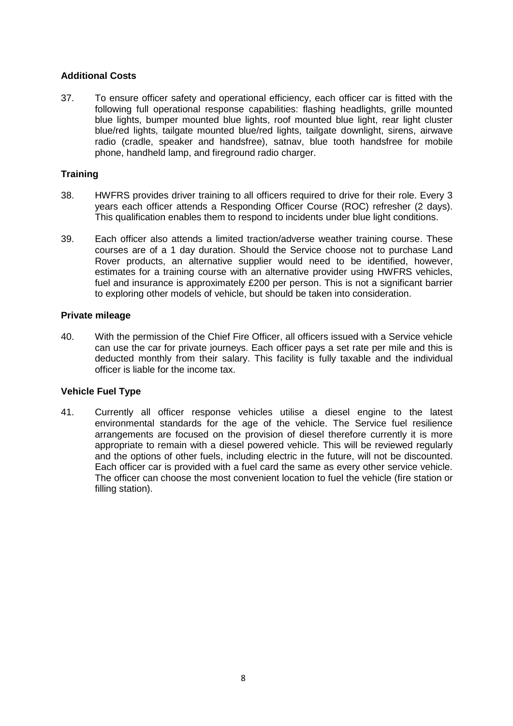## **Additional Costs**

37. To ensure officer safety and operational efficiency, each officer car is fitted with the following full operational response capabilities: flashing headlights, grille mounted blue lights, bumper mounted blue lights, roof mounted blue light, rear light cluster blue/red lights, tailgate mounted blue/red lights, tailgate downlight, sirens, airwave radio (cradle, speaker and handsfree), satnav, blue tooth handsfree for mobile phone, handheld lamp, and fireground radio charger.

## **Training**

- 38. HWFRS provides driver training to all officers required to drive for their role. Every 3 years each officer attends a Responding Officer Course (ROC) refresher (2 days). This qualification enables them to respond to incidents under blue light conditions.
- 39. Each officer also attends a limited traction/adverse weather training course. These courses are of a 1 day duration. Should the Service choose not to purchase Land Rover products, an alternative supplier would need to be identified, however, estimates for a training course with an alternative provider using HWFRS vehicles, fuel and insurance is approximately £200 per person. This is not a significant barrier to exploring other models of vehicle, but should be taken into consideration.

## **Private mileage**

40. With the permission of the Chief Fire Officer, all officers issued with a Service vehicle can use the car for private journeys. Each officer pays a set rate per mile and this is deducted monthly from their salary. This facility is fully taxable and the individual officer is liable for the income tax.

## **Vehicle Fuel Type**

41. Currently all officer response vehicles utilise a diesel engine to the latest environmental standards for the age of the vehicle. The Service fuel resilience arrangements are focused on the provision of diesel therefore currently it is more appropriate to remain with a diesel powered vehicle. This will be reviewed regularly and the options of other fuels, including electric in the future, will not be discounted. Each officer car is provided with a fuel card the same as every other service vehicle. The officer can choose the most convenient location to fuel the vehicle (fire station or filling station).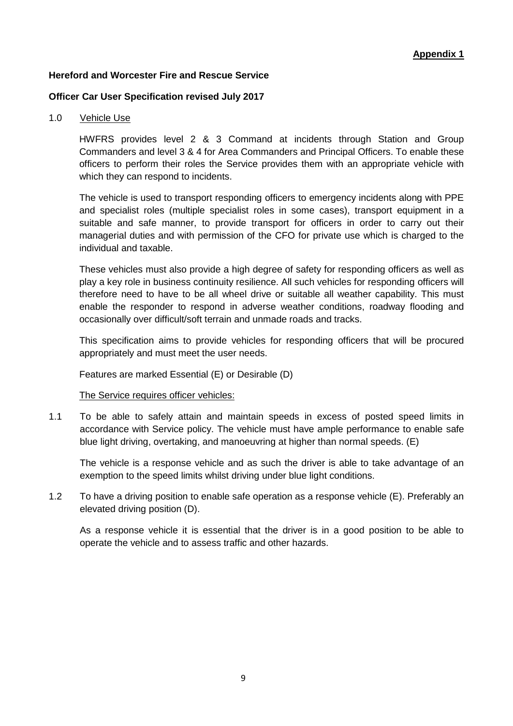## **Hereford and Worcester Fire and Rescue Service**

## **Officer Car User Specification revised July 2017**

#### 1.0 Vehicle Use

HWFRS provides level 2 & 3 Command at incidents through Station and Group Commanders and level 3 & 4 for Area Commanders and Principal Officers. To enable these officers to perform their roles the Service provides them with an appropriate vehicle with which they can respond to incidents.

The vehicle is used to transport responding officers to emergency incidents along with PPE and specialist roles (multiple specialist roles in some cases), transport equipment in a suitable and safe manner, to provide transport for officers in order to carry out their managerial duties and with permission of the CFO for private use which is charged to the individual and taxable.

These vehicles must also provide a high degree of safety for responding officers as well as play a key role in business continuity resilience. All such vehicles for responding officers will therefore need to have to be all wheel drive or suitable all weather capability. This must enable the responder to respond in adverse weather conditions, roadway flooding and occasionally over difficult/soft terrain and unmade roads and tracks.

This specification aims to provide vehicles for responding officers that will be procured appropriately and must meet the user needs.

Features are marked Essential (E) or Desirable (D)

#### The Service requires officer vehicles:

1.1 To be able to safely attain and maintain speeds in excess of posted speed limits in accordance with Service policy. The vehicle must have ample performance to enable safe blue light driving, overtaking, and manoeuvring at higher than normal speeds. (E)

The vehicle is a response vehicle and as such the driver is able to take advantage of an exemption to the speed limits whilst driving under blue light conditions.

1.2 To have a driving position to enable safe operation as a response vehicle (E). Preferably an elevated driving position (D).

As a response vehicle it is essential that the driver is in a good position to be able to operate the vehicle and to assess traffic and other hazards.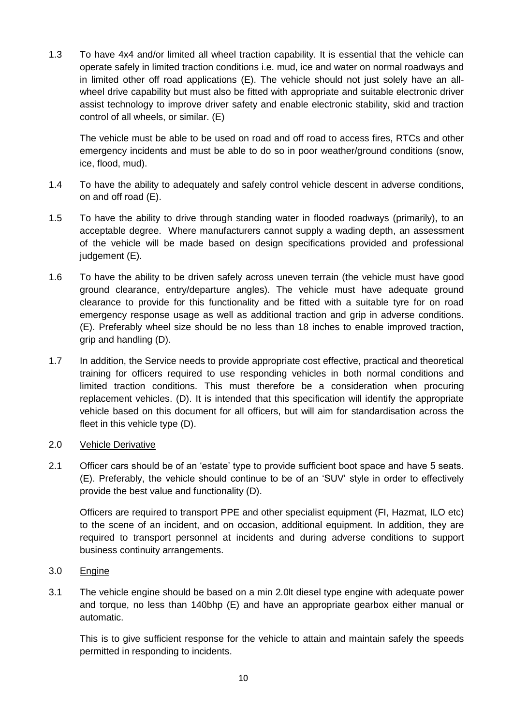1.3 To have 4x4 and/or limited all wheel traction capability. It is essential that the vehicle can operate safely in limited traction conditions i.e. mud, ice and water on normal roadways and in limited other off road applications (E). The vehicle should not just solely have an allwheel drive capability but must also be fitted with appropriate and suitable electronic driver assist technology to improve driver safety and enable electronic stability, skid and traction control of all wheels, or similar. (E)

The vehicle must be able to be used on road and off road to access fires, RTCs and other emergency incidents and must be able to do so in poor weather/ground conditions (snow, ice, flood, mud).

- 1.4 To have the ability to adequately and safely control vehicle descent in adverse conditions, on and off road (E).
- 1.5 To have the ability to drive through standing water in flooded roadways (primarily), to an acceptable degree. Where manufacturers cannot supply a wading depth, an assessment of the vehicle will be made based on design specifications provided and professional judgement (E).
- 1.6 To have the ability to be driven safely across uneven terrain (the vehicle must have good ground clearance, entry/departure angles). The vehicle must have adequate ground clearance to provide for this functionality and be fitted with a suitable tyre for on road emergency response usage as well as additional traction and grip in adverse conditions. (E). Preferably wheel size should be no less than 18 inches to enable improved traction, grip and handling (D).
- 1.7 In addition, the Service needs to provide appropriate cost effective, practical and theoretical training for officers required to use responding vehicles in both normal conditions and limited traction conditions. This must therefore be a consideration when procuring replacement vehicles. (D). It is intended that this specification will identify the appropriate vehicle based on this document for all officers, but will aim for standardisation across the fleet in this vehicle type (D).

## 2.0 Vehicle Derivative

2.1 Officer cars should be of an 'estate' type to provide sufficient boot space and have 5 seats. (E). Preferably, the vehicle should continue to be of an 'SUV' style in order to effectively provide the best value and functionality (D).

Officers are required to transport PPE and other specialist equipment (FI, Hazmat, ILO etc) to the scene of an incident, and on occasion, additional equipment. In addition, they are required to transport personnel at incidents and during adverse conditions to support business continuity arrangements.

## 3.0 Engine

3.1 The vehicle engine should be based on a min 2.0lt diesel type engine with adequate power and torque, no less than 140bhp (E) and have an appropriate gearbox either manual or automatic.

This is to give sufficient response for the vehicle to attain and maintain safely the speeds permitted in responding to incidents.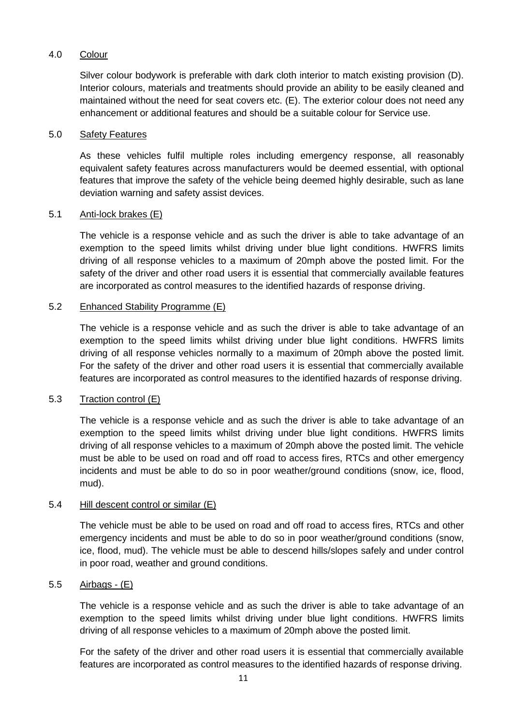# 4.0 Colour

Silver colour bodywork is preferable with dark cloth interior to match existing provision (D). Interior colours, materials and treatments should provide an ability to be easily cleaned and maintained without the need for seat covers etc. (E). The exterior colour does not need any enhancement or additional features and should be a suitable colour for Service use.

## 5.0 Safety Features

As these vehicles fulfil multiple roles including emergency response, all reasonably equivalent safety features across manufacturers would be deemed essential, with optional features that improve the safety of the vehicle being deemed highly desirable, such as lane deviation warning and safety assist devices.

#### 5.1 Anti-lock brakes (E)

The vehicle is a response vehicle and as such the driver is able to take advantage of an exemption to the speed limits whilst driving under blue light conditions. HWFRS limits driving of all response vehicles to a maximum of 20mph above the posted limit. For the safety of the driver and other road users it is essential that commercially available features are incorporated as control measures to the identified hazards of response driving.

#### 5.2 Enhanced Stability Programme (E)

The vehicle is a response vehicle and as such the driver is able to take advantage of an exemption to the speed limits whilst driving under blue light conditions. HWFRS limits driving of all response vehicles normally to a maximum of 20mph above the posted limit. For the safety of the driver and other road users it is essential that commercially available features are incorporated as control measures to the identified hazards of response driving.

## 5.3 Traction control (E)

The vehicle is a response vehicle and as such the driver is able to take advantage of an exemption to the speed limits whilst driving under blue light conditions. HWFRS limits driving of all response vehicles to a maximum of 20mph above the posted limit. The vehicle must be able to be used on road and off road to access fires, RTCs and other emergency incidents and must be able to do so in poor weather/ground conditions (snow, ice, flood, mud).

#### 5.4 Hill descent control or similar (E)

The vehicle must be able to be used on road and off road to access fires, RTCs and other emergency incidents and must be able to do so in poor weather/ground conditions (snow, ice, flood, mud). The vehicle must be able to descend hills/slopes safely and under control in poor road, weather and ground conditions.

#### 5.5 Airbags - (E)

The vehicle is a response vehicle and as such the driver is able to take advantage of an exemption to the speed limits whilst driving under blue light conditions. HWFRS limits driving of all response vehicles to a maximum of 20mph above the posted limit.

For the safety of the driver and other road users it is essential that commercially available features are incorporated as control measures to the identified hazards of response driving.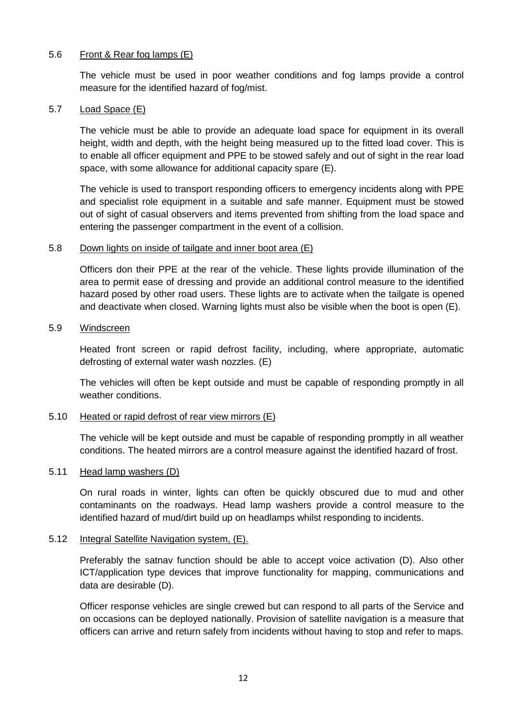## 5.6 Front & Rear fog lamps (E)

The vehicle must be used in poor weather conditions and fog lamps provide a control measure for the identified hazard of fog/mist.

#### 5.7 Load Space (E)

The vehicle must be able to provide an adequate load space for equipment in its overall height, width and depth, with the height being measured up to the fitted load cover. This is to enable all officer equipment and PPE to be stowed safely and out of sight in the rear load space, with some allowance for additional capacity spare (E).

The vehicle is used to transport responding officers to emergency incidents along with PPE and specialist role equipment in a suitable and safe manner. Equipment must be stowed out of sight of casual observers and items prevented from shifting from the load space and entering the passenger compartment in the event of a collision.

## 5.8 Down lights on inside of tailgate and inner boot area (E)

Officers don their PPE at the rear of the vehicle. These lights provide illumination of the area to permit ease of dressing and provide an additional control measure to the identified hazard posed by other road users. These lights are to activate when the tailgate is opened and deactivate when closed. Warning lights must also be visible when the boot is open (E).

#### 5.9 Windscreen

Heated front screen or rapid defrost facility, including, where appropriate, automatic defrosting of external water wash nozzles. (E)

The vehicles will often be kept outside and must be capable of responding promptly in all weather conditions.

## 5.10 Heated or rapid defrost of rear view mirrors (E)

The vehicle will be kept outside and must be capable of responding promptly in all weather conditions. The heated mirrors are a control measure against the identified hazard of frost.

#### 5.11 Head lamp washers (D)

On rural roads in winter, lights can often be quickly obscured due to mud and other contaminants on the roadways. Head lamp washers provide a control measure to the identified hazard of mud/dirt build up on headlamps whilst responding to incidents.

## 5.12 Integral Satellite Navigation system, (E).

Preferably the satnav function should be able to accept voice activation (D). Also other ICT/application type devices that improve functionality for mapping, communications and data are desirable (D).

Officer response vehicles are single crewed but can respond to all parts of the Service and on occasions can be deployed nationally. Provision of satellite navigation is a measure that officers can arrive and return safely from incidents without having to stop and refer to maps.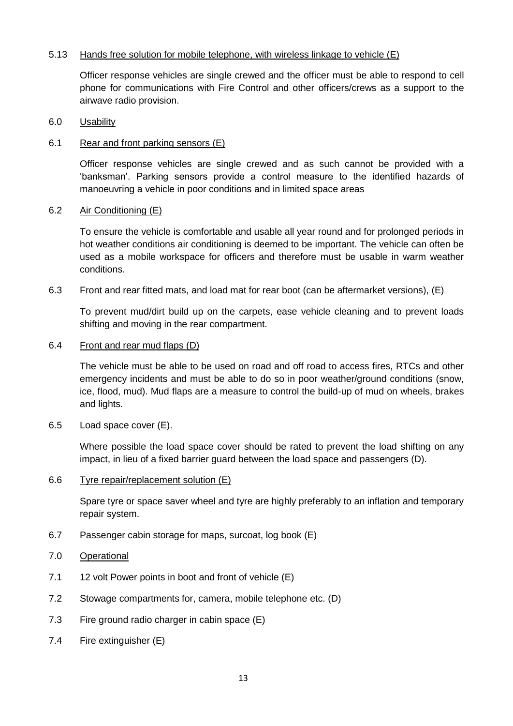## 5.13 Hands free solution for mobile telephone, with wireless linkage to vehicle (E)

Officer response vehicles are single crewed and the officer must be able to respond to cell phone for communications with Fire Control and other officers/crews as a support to the airwave radio provision.

#### 6.0 Usability

#### 6.1 Rear and front parking sensors (E)

Officer response vehicles are single crewed and as such cannot be provided with a 'banksman'. Parking sensors provide a control measure to the identified hazards of manoeuvring a vehicle in poor conditions and in limited space areas

#### 6.2 Air Conditioning (E)

To ensure the vehicle is comfortable and usable all year round and for prolonged periods in hot weather conditions air conditioning is deemed to be important. The vehicle can often be used as a mobile workspace for officers and therefore must be usable in warm weather conditions.

## 6.3 Front and rear fitted mats, and load mat for rear boot (can be aftermarket versions), (E)

To prevent mud/dirt build up on the carpets, ease vehicle cleaning and to prevent loads shifting and moving in the rear compartment.

#### 6.4 Front and rear mud flaps (D)

The vehicle must be able to be used on road and off road to access fires, RTCs and other emergency incidents and must be able to do so in poor weather/ground conditions (snow, ice, flood, mud). Mud flaps are a measure to control the build-up of mud on wheels, brakes and lights.

#### 6.5 Load space cover (E).

Where possible the load space cover should be rated to prevent the load shifting on any impact, in lieu of a fixed barrier guard between the load space and passengers (D).

#### 6.6 Tyre repair/replacement solution (E)

Spare tyre or space saver wheel and tyre are highly preferably to an inflation and temporary repair system.

- 6.7 Passenger cabin storage for maps, surcoat, log book (E)
- 7.0 Operational
- 7.1 12 volt Power points in boot and front of vehicle (E)
- 7.2 Stowage compartments for, camera, mobile telephone etc. (D)
- 7.3 Fire ground radio charger in cabin space (E)
- 7.4 Fire extinguisher (E)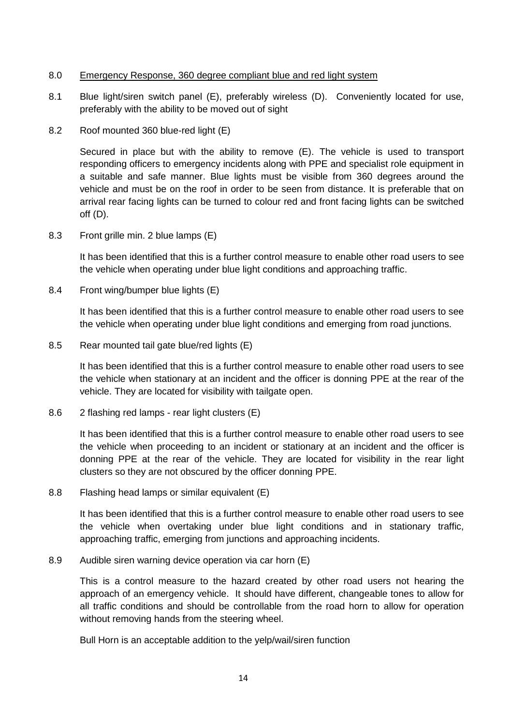## 8.0 Emergency Response, 360 degree compliant blue and red light system

- 8.1 Blue light/siren switch panel (E), preferably wireless (D). Conveniently located for use, preferably with the ability to be moved out of sight
- 8.2 Roof mounted 360 blue-red light (E)

Secured in place but with the ability to remove (E). The vehicle is used to transport responding officers to emergency incidents along with PPE and specialist role equipment in a suitable and safe manner. Blue lights must be visible from 360 degrees around the vehicle and must be on the roof in order to be seen from distance. It is preferable that on arrival rear facing lights can be turned to colour red and front facing lights can be switched off (D).

8.3 Front grille min. 2 blue lamps (E)

It has been identified that this is a further control measure to enable other road users to see the vehicle when operating under blue light conditions and approaching traffic.

8.4 Front wing/bumper blue lights (E)

It has been identified that this is a further control measure to enable other road users to see the vehicle when operating under blue light conditions and emerging from road junctions.

8.5 Rear mounted tail gate blue/red lights (E)

It has been identified that this is a further control measure to enable other road users to see the vehicle when stationary at an incident and the officer is donning PPE at the rear of the vehicle. They are located for visibility with tailgate open.

8.6 2 flashing red lamps - rear light clusters (E)

It has been identified that this is a further control measure to enable other road users to see the vehicle when proceeding to an incident or stationary at an incident and the officer is donning PPE at the rear of the vehicle. They are located for visibility in the rear light clusters so they are not obscured by the officer donning PPE.

8.8 Flashing head lamps or similar equivalent (E)

It has been identified that this is a further control measure to enable other road users to see the vehicle when overtaking under blue light conditions and in stationary traffic, approaching traffic, emerging from junctions and approaching incidents.

8.9 Audible siren warning device operation via car horn (E)

This is a control measure to the hazard created by other road users not hearing the approach of an emergency vehicle. It should have different, changeable tones to allow for all traffic conditions and should be controllable from the road horn to allow for operation without removing hands from the steering wheel.

Bull Horn is an acceptable addition to the yelp/wail/siren function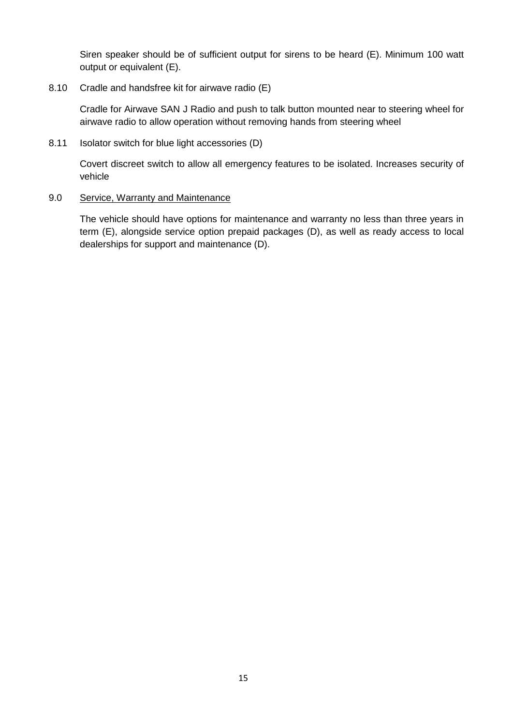Siren speaker should be of sufficient output for sirens to be heard (E). Minimum 100 watt output or equivalent (E).

## 8.10 Cradle and handsfree kit for airwave radio (E)

Cradle for Airwave SAN J Radio and push to talk button mounted near to steering wheel for airwave radio to allow operation without removing hands from steering wheel

8.11 Isolator switch for blue light accessories (D)

Covert discreet switch to allow all emergency features to be isolated. Increases security of vehicle

### 9.0 Service, Warranty and Maintenance

The vehicle should have options for maintenance and warranty no less than three years in term (E), alongside service option prepaid packages (D), as well as ready access to local dealerships for support and maintenance (D).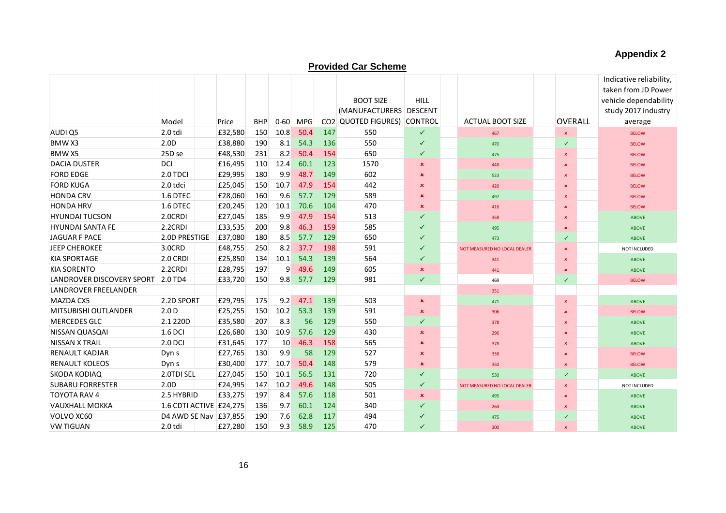# **Appendix 2**

# **Provided Car Scheme**

|                             |                         |         |            |                |      |     |                             |                |                              |                | Indicative reliability, |
|-----------------------------|-------------------------|---------|------------|----------------|------|-----|-----------------------------|----------------|------------------------------|----------------|-------------------------|
|                             |                         |         |            |                |      |     |                             |                |                              |                | taken from JD Power     |
|                             |                         |         |            |                |      |     | <b>BOOT SIZE</b>            | <b>HILL</b>    |                              |                | vehicle dependability   |
|                             |                         |         |            |                |      |     | (MANUFACTURERS DESCENT      |                |                              |                | study 2017 industry     |
|                             | Model                   | Price   | <b>BHP</b> | $0 - 60$       | MPG  |     | CO2 QUOTED FIGURES) CONTROL |                | <b>ACTUAL BOOT SIZE</b>      | <b>OVERALL</b> | average                 |
| AUDI Q5                     | $2.0$ tdi               | £32,580 | 150        | 10.8           | 50.4 | 147 | 550                         | ✓              | 467                          | $\pmb{\times}$ | <b>BELOW</b>            |
| BMW X3                      | 2.0 <sub>D</sub>        | £38,880 | 190        | 8.1            | 54.3 | 136 | 550                         | ✓              | 470                          | $\checkmark$   | <b>BELOW</b>            |
| <b>BMWX5</b>                | 25D se                  | £48,530 | 231        | 8.2            | 50.4 | 154 | 650                         | ✓              | 475                          | $\pmb{\times}$ | <b>BELOW</b>            |
| <b>DACIA DUSTER</b>         | DCI                     | £16,495 | 110        | 12.4           | 60.1 | 123 | 1570                        | $\pmb{\times}$ | 448                          | $\mathbf x$    | <b>BELOW</b>            |
| <b>FORD EDGE</b>            | $2.0$ TDCI              | £29,995 | 180        | 9.9            | 48.7 | 149 | 602                         | ×              | 523                          | $\pmb{\times}$ | <b>BELOW</b>            |
| <b>FORD KUGA</b>            | $2.0$ tdci              | £25,045 | 150        | 10.7           | 47.9 | 154 | 442                         | ×              | 420                          | $\mathbf x$    | <b>BELOW</b>            |
| <b>HONDA CRV</b>            | $1.6$ DTEC              | £28,060 | 160        | 9.6            | 57.7 | 129 | 589                         | ×              | 497                          | $\mathbf x$    | <b>BELOW</b>            |
| <b>HONDA HRV</b>            | $1.6$ DTEC              | £20,245 | 120        | 10.1           | 70.6 | 104 | 470                         | $\mathbf x$    | 416                          | $\mathbf x$    | <b>BELOW</b>            |
| <b>HYUNDAI TUCSON</b>       | $2.0$ CRDI              | £27,045 | 185        | 9.9            | 47.9 | 154 | 513                         | ✓              | 358                          | $\pmb{\times}$ | <b>ABOVE</b>            |
| <b>HYUNDAI SANTA FE</b>     | 2.2CRDI                 | £33,535 | 200        | 9.8            | 46.3 | 159 | 585                         | ✓              | 495                          | $\mathbf x$    | <b>ABOVE</b>            |
| JAGUAR F PACE               | 2.0D PRESTIGE           | £37,080 | 180        | 8.5            | 57.7 | 129 | 650                         | ✓              | 473                          | ✓              | <b>ABOVE</b>            |
| JEEP CHEROKEE               | 3.0CRD                  | £48,755 | 250        | 8.2            | 37.7 | 198 | 591                         | ✓              | NOT MEASURED NO LOCAL DEALER | $\pmb{\times}$ | NOT INCLUDED            |
| <b>KIA SPORTAGE</b>         | $2.0$ CRDI              | £25,850 | 134        | 10.1           | 54.3 | 139 | 564                         | ✓              | 341                          | $\mathbf x$    | <b>ABOVE</b>            |
| <b>KIA SORENTO</b>          | $2.2$ CRDI              | £28,795 | 197        | $\overline{9}$ | 49.6 | 149 | 605                         | $\pmb{\times}$ | 441                          | $\pmb{\times}$ | <b>ABOVE</b>            |
| LANDROVER DISCOVERY SPORT   | $2.0$ TD4               | £33,720 | 150        | 9.8            | 57.7 | 129 | 981                         | $\checkmark$   | 469                          | $\checkmark$   | <b>BELOW</b>            |
| <b>LANDROVER FREELANDER</b> |                         |         |            |                |      |     |                             |                | 351                          |                |                         |
| <b>MAZDA CX5</b>            | 2.2D SPORT              | £29,795 | 175        | 9.2            | 47.1 | 139 | 503                         | $\pmb{\times}$ | 471                          | $\pmb{\times}$ | <b>ABOVE</b>            |
| <b>MITSUBISHI OUTLANDER</b> | 2.0 <sub>D</sub>        | £25,255 | 150        | 10.2           | 53.3 | 139 | 591                         | $\pmb{\times}$ | 306                          | $\pmb{\times}$ | <b>BELOW</b>            |
| <b>MERCEDES GLC</b>         | 2.1 220D                | £35,580 | 207        | 8.3            | 56   | 129 | 550                         | ✓              | 378                          | $\mathbf x$    | <b>ABOVE</b>            |
| NISSAN QUASQAI              | $1.6$ DCI               | £26,680 | 130        | 10.9           | 57.6 | 129 | 430                         | $\pmb{\times}$ | 296                          | $\pmb{\times}$ | <b>ABOVE</b>            |
| <b>NISSAN X TRAIL</b>       | $2.0$ DCI               | £31,645 | 177        | 10             | 46.3 | 158 | 565                         | ×              | 378                          | $\mathbf x$    | <b>ABOVE</b>            |
| <b>RENAULT KADJAR</b>       | Dyn s                   | £27,765 | 130        | 9.9            | 58   | 129 | 527                         | ×              | 338                          | $\pmb{\times}$ | <b>BELOW</b>            |
| <b>RENAULT KOLEOS</b>       | Dyn <sub>s</sub>        | £30,400 | 177        | 10.7           | 50.4 | 148 | 579                         | $\pmb{\times}$ | 350                          | $\mathbf x$    | <b>BELOW</b>            |
| <b>SKODA KODIAQ</b>         | 2.0TDI SEL              | £27,045 | 150        | 10.1           | 56.5 | 131 | 720                         | ✓              | 530                          | $\checkmark$   | <b>ABOVE</b>            |
| <b>SUBARU FORRESTER</b>     | 2.0D                    | £24,995 | 147        | 10.2           | 49.6 | 148 | 505                         | ✓              | NOT MEASURED NO LOCAL DEALER | $\mathbf x$    | NOT INCLUDED            |
| <b>TOYOTA RAV 4</b>         | 2.5 HYBRID              | £33,275 | 197        | 8.4            | 57.6 | 118 | 501                         | ×              | 495                          | $\pmb{\times}$ | <b>ABOVE</b>            |
| <b>VAUXHALL MOKKA</b>       | 1.6 CDTI ACTIVE £24,275 |         | 136        | 9.7            | 60.1 | 124 | 340                         | ✓              | 264                          | $\mathbf x$    | <b>ABOVE</b>            |
| VOLVO XC60                  | D4 AWD SE Nav £37,855   |         | 190        | 7.6            | 62.8 | 117 | 494                         | ✓              | 475                          | ✓              | <b>ABOVE</b>            |
| <b>VW TIGUAN</b>            | $2.0$ tdi               | £27,280 | 150        | 9.3            | 58.9 | 125 | 470                         | ✓              | 300                          | a.             | <b>ABOVE</b>            |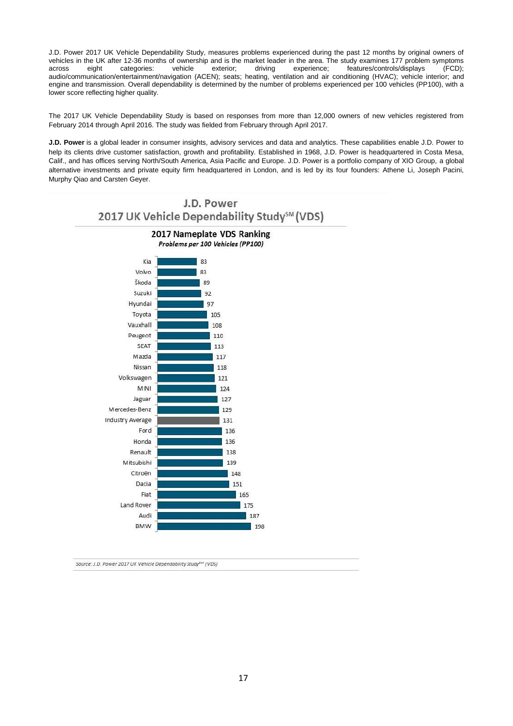J.D. Power 2017 UK Vehicle Dependability Study, measures problems experienced during the past 12 months by original owners of vehicles in the UK after 12-36 months of ownership and is the market leader in the area. The study examines 177 problem symptoms across eight categories: vehicle exterior; driving experience; features/controls/displays (FCD); audio/communication/entertainment/navigation (ACEN); seats; heating, ventilation and air conditioning (HVAC); vehicle interior; and engine and transmission. Overall dependability is determined by the number of problems experienced per 100 vehicles (PP100), with a lower score reflecting higher quality.

The 2017 UK Vehicle Dependability Study is based on responses from more than 12,000 owners of new vehicles registered from February 2014 through April 2016. The study was fielded from February through April 2017.

**J.D. Power** is a global leader in consumer insights, advisory services and data and analytics. These capabilities enable J.D. Power to help its clients drive customer satisfaction, growth and profitability. Established in 1968, J.D. Power is headquartered in Costa Mesa, Calif., and has offices serving North/South America, Asia Pacific and Europe. J.D. Power is a portfolio company of XIO Group, a global alternative investments and private equity firm headquartered in London, and is led by its four founders: Athene Li, Joseph Pacini, Murphy Qiao and Carsten Geyer.



Source: J.D. Power 2017 UK Vehicle Dependability Study<sup>5M</sup> (VDS)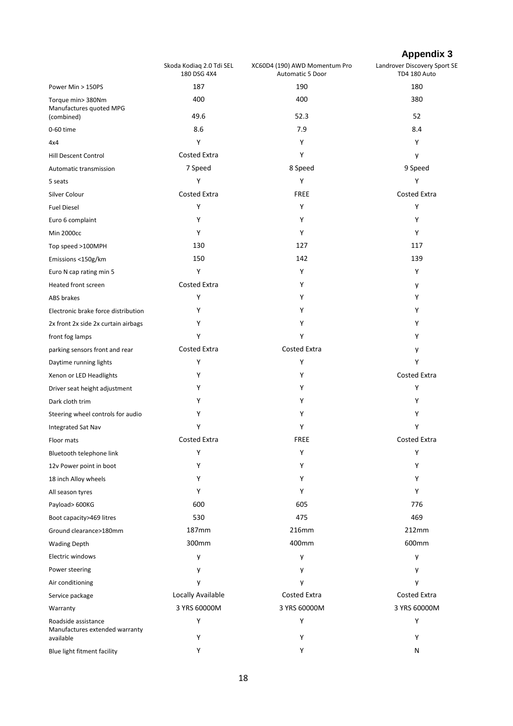# **Appendix 3**

|                                                       | Skoda Kodiaq 2.0 Tdi SEL<br>180 DSG 4X4 | XC60D4 (190) AWD Momentum Pro<br>Automatic 5 Door | Landrover Discovery Sport SE<br>TD4 180 Auto |
|-------------------------------------------------------|-----------------------------------------|---------------------------------------------------|----------------------------------------------|
| Power Min > 150PS                                     | 187                                     | 190                                               | 180                                          |
| Torque min> 380Nm<br>Manufactures quoted MPG          | 400                                     | 400                                               | 380                                          |
| (combined)                                            | 49.6                                    | 52.3                                              | 52                                           |
| 0-60 time                                             | 8.6                                     | 7.9                                               | 8.4                                          |
| 4x4                                                   | Y                                       | Y                                                 | Y                                            |
| Hill Descent Control                                  | <b>Costed Extra</b>                     | Y                                                 | y                                            |
| Automatic transmission                                | 7 Speed                                 | 8 Speed                                           | 9 Speed                                      |
| 5 seats                                               | Y                                       | Y                                                 | Υ                                            |
| Silver Colour                                         | <b>Costed Extra</b>                     | <b>FREE</b>                                       | <b>Costed Extra</b>                          |
| <b>Fuel Diesel</b>                                    | Y                                       | Y                                                 | Υ                                            |
| Euro 6 complaint                                      | Y                                       | Υ                                                 | Y                                            |
| <b>Min 2000cc</b>                                     | Υ                                       | Y                                                 | Y                                            |
| Top speed >100MPH                                     | 130                                     | 127                                               | 117                                          |
| Emissions <150g/km                                    | 150                                     | 142                                               | 139                                          |
| Euro N cap rating min 5                               | Υ                                       | Υ                                                 | Υ                                            |
| Heated front screen                                   | Costed Extra                            | Υ                                                 | у                                            |
| ABS brakes                                            | Υ                                       | Υ                                                 | Υ                                            |
| Electronic brake force distribution                   | Υ                                       | Υ                                                 | Y                                            |
| 2x front 2x side 2x curtain airbags                   | Υ                                       | Υ                                                 | Υ                                            |
| front fog lamps                                       | Y                                       | Y                                                 | Y                                            |
| parking sensors front and rear                        | <b>Costed Extra</b>                     | Costed Extra                                      | у                                            |
| Daytime running lights                                | Υ                                       | Υ                                                 | Υ                                            |
| Xenon or LED Headlights                               | Υ                                       | Υ                                                 | <b>Costed Extra</b>                          |
| Driver seat height adjustment                         | Υ                                       | Υ                                                 | Υ                                            |
| Dark cloth trim                                       | Υ                                       | Υ                                                 | Y                                            |
| Steering wheel controls for audio                     | Υ                                       | Υ                                                 | Y                                            |
| <b>Integrated Sat Nav</b>                             | Υ                                       | Υ                                                 | Υ                                            |
| Floor mats                                            | <b>Costed Extra</b>                     | <b>FREE</b>                                       | Costed Extra                                 |
| Bluetooth telephone link                              | Υ                                       | Υ                                                 | Υ                                            |
| 12v Power point in boot                               | Υ                                       | Υ                                                 | Υ                                            |
| 18 inch Alloy wheels                                  | Υ                                       | Υ                                                 | Y                                            |
| All season tyres                                      | Υ                                       | Υ                                                 | Y                                            |
| Payload> 600KG                                        | 600                                     | 605                                               | 776                                          |
| Boot capacity>469 litres                              | 530                                     | 475                                               | 469                                          |
| Ground clearance>180mm                                | 187mm                                   | 216mm                                             | 212mm                                        |
| <b>Wading Depth</b>                                   | 300mm                                   | 400mm                                             | 600mm                                        |
| Electric windows                                      | y                                       | y                                                 | у                                            |
| Power steering                                        | у                                       | у                                                 | у                                            |
| Air conditioning                                      | y                                       | y                                                 | у                                            |
| Service package                                       | Locally Available                       | <b>Costed Extra</b>                               | <b>Costed Extra</b>                          |
| Warranty                                              | 3 YRS 60000M                            | 3 YRS 60000M                                      | 3 YRS 60000M                                 |
| Roadside assistance<br>Manufactures extended warranty | Y                                       | Υ                                                 | Y                                            |
| available                                             | Y                                       | Υ                                                 | Y                                            |
| Blue light fitment facility                           | Υ                                       | Υ                                                 | Ν                                            |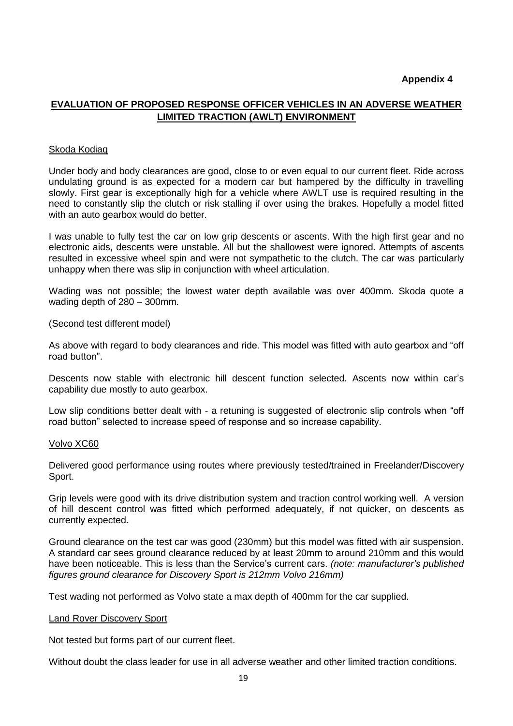#### **Appendix 4**

# **EVALUATION OF PROPOSED RESPONSE OFFICER VEHICLES IN AN ADVERSE WEATHER LIMITED TRACTION (AWLT) ENVIRONMENT**

#### Skoda Kodiaq

Under body and body clearances are good, close to or even equal to our current fleet. Ride across undulating ground is as expected for a modern car but hampered by the difficulty in travelling slowly. First gear is exceptionally high for a vehicle where AWLT use is required resulting in the need to constantly slip the clutch or risk stalling if over using the brakes. Hopefully a model fitted with an auto gearbox would do better.

I was unable to fully test the car on low grip descents or ascents. With the high first gear and no electronic aids, descents were unstable. All but the shallowest were ignored. Attempts of ascents resulted in excessive wheel spin and were not sympathetic to the clutch. The car was particularly unhappy when there was slip in conjunction with wheel articulation.

Wading was not possible; the lowest water depth available was over 400mm. Skoda quote a wading depth of 280 – 300mm.

(Second test different model)

As above with regard to body clearances and ride. This model was fitted with auto gearbox and "off road button".

Descents now stable with electronic hill descent function selected. Ascents now within car's capability due mostly to auto gearbox.

Low slip conditions better dealt with - a retuning is suggested of electronic slip controls when "off road button" selected to increase speed of response and so increase capability.

#### Volvo XC60

Delivered good performance using routes where previously tested/trained in Freelander/Discovery Sport.

Grip levels were good with its drive distribution system and traction control working well. A version of hill descent control was fitted which performed adequately, if not quicker, on descents as currently expected.

Ground clearance on the test car was good (230mm) but this model was fitted with air suspension. A standard car sees ground clearance reduced by at least 20mm to around 210mm and this would have been noticeable. This is less than the Service's current cars. *(note: manufacturer's published figures ground clearance for Discovery Sport is 212mm Volvo 216mm)*

Test wading not performed as Volvo state a max depth of 400mm for the car supplied.

#### Land Rover Discovery Sport

Not tested but forms part of our current fleet.

Without doubt the class leader for use in all adverse weather and other limited traction conditions.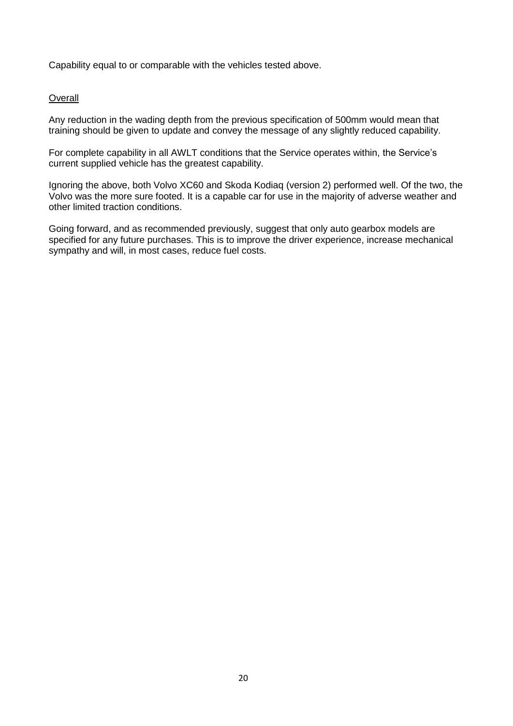Capability equal to or comparable with the vehicles tested above.

#### **Overall**

Any reduction in the wading depth from the previous specification of 500mm would mean that training should be given to update and convey the message of any slightly reduced capability.

For complete capability in all AWLT conditions that the Service operates within, the Service's current supplied vehicle has the greatest capability.

Ignoring the above, both Volvo XC60 and Skoda Kodiaq (version 2) performed well. Of the two, the Volvo was the more sure footed. It is a capable car for use in the majority of adverse weather and other limited traction conditions.

Going forward, and as recommended previously, suggest that only auto gearbox models are specified for any future purchases. This is to improve the driver experience, increase mechanical sympathy and will, in most cases, reduce fuel costs.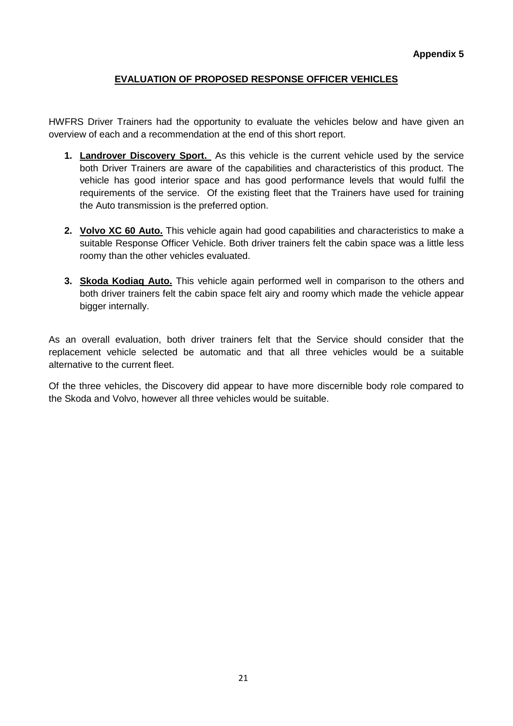# **EVALUATION OF PROPOSED RESPONSE OFFICER VEHICLES**

HWFRS Driver Trainers had the opportunity to evaluate the vehicles below and have given an overview of each and a recommendation at the end of this short report.

- **1. Landrover Discovery Sport.** As this vehicle is the current vehicle used by the service both Driver Trainers are aware of the capabilities and characteristics of this product. The vehicle has good interior space and has good performance levels that would fulfil the requirements of the service. Of the existing fleet that the Trainers have used for training the Auto transmission is the preferred option.
- **2. Volvo XC 60 Auto.** This vehicle again had good capabilities and characteristics to make a suitable Response Officer Vehicle. Both driver trainers felt the cabin space was a little less roomy than the other vehicles evaluated.
- **3. Skoda Kodiaq Auto.** This vehicle again performed well in comparison to the others and both driver trainers felt the cabin space felt airy and roomy which made the vehicle appear bigger internally.

As an overall evaluation, both driver trainers felt that the Service should consider that the replacement vehicle selected be automatic and that all three vehicles would be a suitable alternative to the current fleet.

Of the three vehicles, the Discovery did appear to have more discernible body role compared to the Skoda and Volvo, however all three vehicles would be suitable.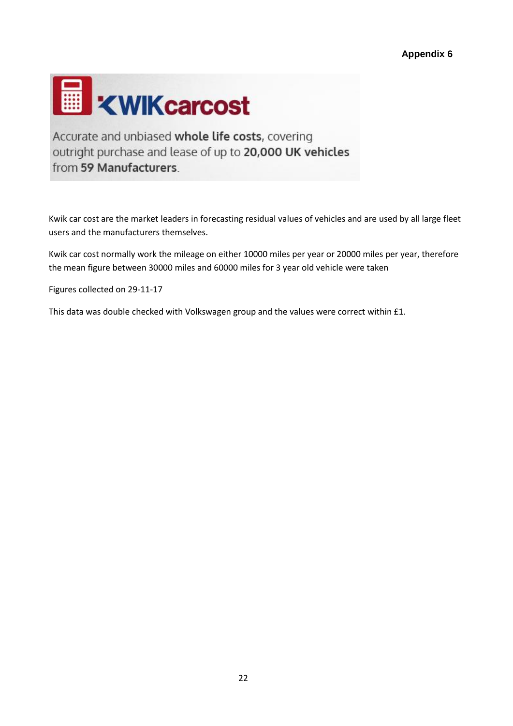

Accurate and unbiased whole life costs, covering outright purchase and lease of up to 20,000 UK vehicles from 59 Manufacturers.

Kwik car cost are the market leaders in forecasting residual values of vehicles and are used by all large fleet users and the manufacturers themselves.

Kwik car cost normally work the mileage on either 10000 miles per year or 20000 miles per year, therefore the mean figure between 30000 miles and 60000 miles for 3 year old vehicle were taken

Figures collected on 29-11-17

This data was double checked with Volkswagen group and the values were correct within £1.